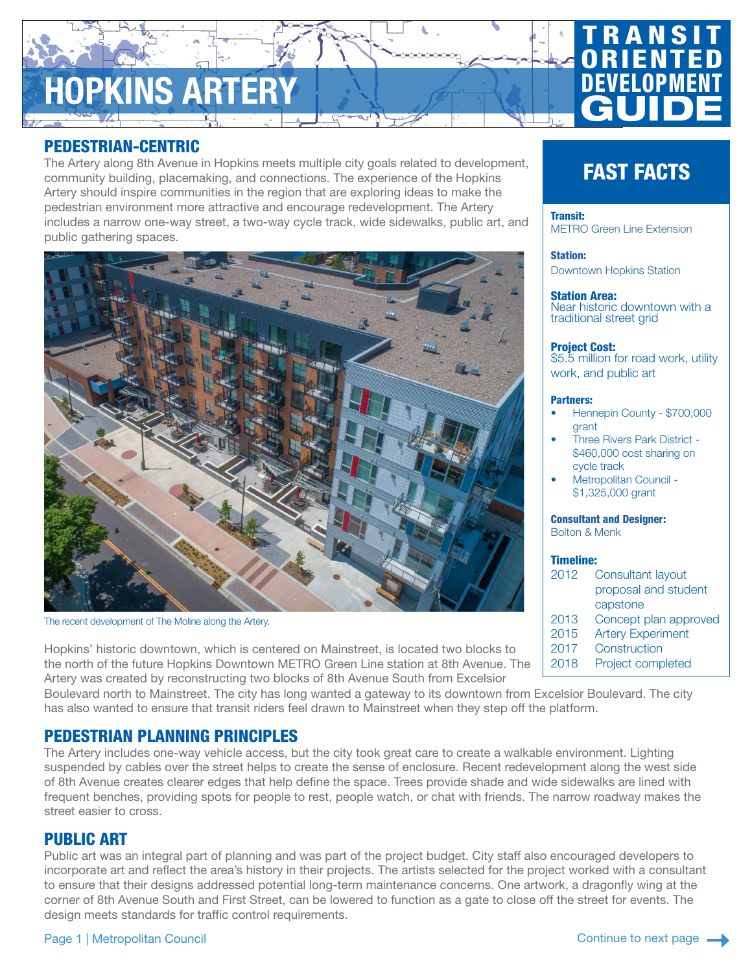# HOPKINS ARTERY

# PEDESTRIAN-CENTRIC

The Artery along 8th Avenue in Hopkins meets multiple city goals related to development, community building, placemaking, and connections. The experience of the Hopkins Artery should inspire communities in the region that are exploring ideas to make the pedestrian environment more attractive and encourage redevelopment. The Artery includes a narrow one-way street, a two-way cycle track, wide sidewalks, public art, and public gathering spaces.



The recent development of The Moline along the Artery.

Hopkins' historic downtown, which is centered on Mainstreet, is located two blocks to the north of the future Hopkins Downtown METRO Green Line station at 8th Avenue. The Artery was created by reconstructing two blocks of 8th Avenue South from Excelsior

Boulevard north to Mainstreet. The city has long wanted a gateway to its downtown from Excelsior Boulevard. The city has also wanted to ensure that transit riders feel drawn to Mainstreet when they step off the platform.

# PEDESTRIAN PLANNING PRINCIPLES

The Artery includes one-way vehicle access, but the city took great care to create a walkable environment. Lighting suspended by cables over the street helps to create the sense of enclosure. Recent redevelopment along the west side of 8th Avenue creates clearer edges that help define the space. Trees provide shade and wide sidewalks are lined with frequent benches, providing spots for people to rest, people watch, or chat with friends. The narrow roadway makes the street easier to cross.

# PUBLIC ART

Public art was an integral part of planning and was part of the project budget. City staff also encouraged developers to incorporate art and reflect the area's history in their projects. The artists selected for the project worked with a consultant to ensure that their designs addressed potential long-term maintenance concerns. One artwork, a dragonfly wing at the corner of 8th Avenue South and First Street, can be lowered to function as a gate to close off the street for events. The design meets standards for traffic control requirements.

# Page 1 | Metropolitan Council

# Continue to next page

# FAST FACTS

**RANSI** 

**GUIDE** 

RIEN

DEVELOPM

### Transit: [METRO Green Line Extension](https://metrocouncil.org/Transportation/Projects/Current-Projects/Southwest-LRT.aspx)

Station:

[Downtown Hopkins Station](https://metrocouncil.org/Transportation/Projects/Light-Rail-Projects/Southwest-LRT/Route-Stations/Downtown-Hopkins-Station.aspx?source=child)

# Station Area:

Near historic downtown with a traditional street grid

# Project Cost:

\$5.5 million for road work, utility work, and public art

## Partners:

- Hennepin County \$700,000 grant
- Three Rivers Park District \$460,000 cost sharing on cycle track
- Metropolitan Council \$1,325,000 grant

Consultant and Designer:

Bolton & Menk

# Timeline:

- 2012 Consultant layout proposal and student capstone
- 2013 Concept plan approved
- 2015 Artery Experiment
- 2017 Construction
- 2018 Project completed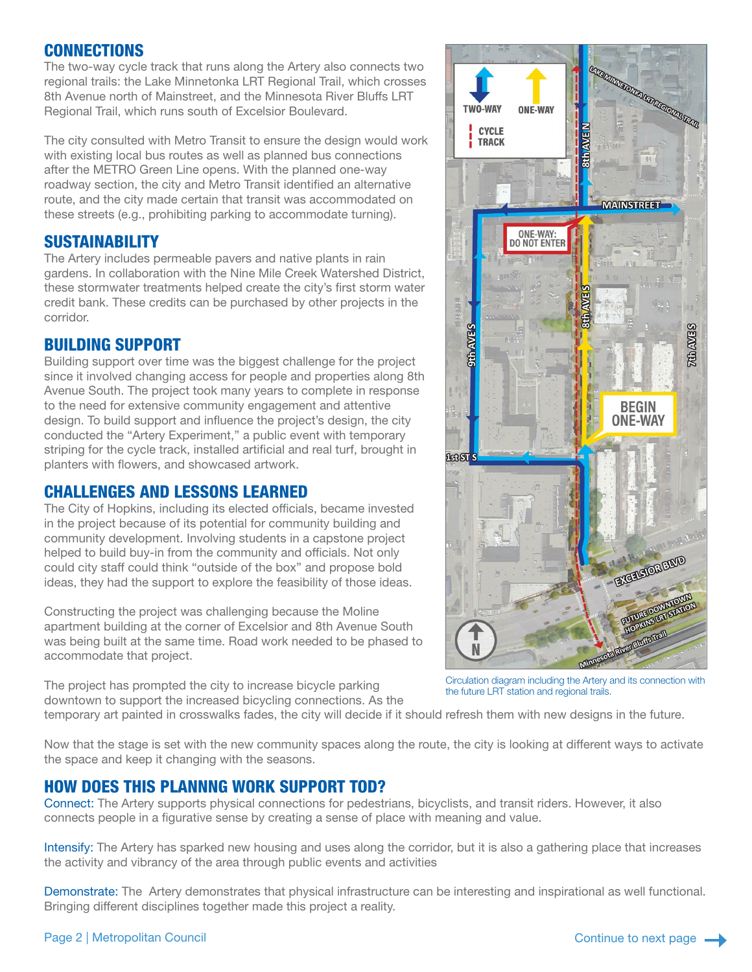# CONNECTIONS

The two-way cycle track that runs along the Artery also connects two regional trails: the Lake Minnetonka LRT Regional Trail, which crosses 8th Avenue north of Mainstreet, and the Minnesota River Bluffs LRT Regional Trail, which runs south of Excelsior Boulevard.

The city consulted with Metro Transit to ensure the design would work with existing local bus routes as well as planned bus connections after the METRO Green Line opens. With the planned one-way roadway section, the city and Metro Transit identified an alternative route, and the city made certain that transit was accommodated on these streets (e.g., prohibiting parking to accommodate turning).

# SUSTAINABILITY

The Artery includes permeable pavers and native plants in rain gardens. In collaboration with the Nine Mile Creek Watershed District, these stormwater treatments helped create the city's first storm water credit bank. These credits can be purchased by other projects in the corridor.

# BUILDING SUPPORT

Building support over time was the biggest challenge for the project since it involved changing access for people and properties along 8th Avenue South. The project took many years to complete in response to the need for extensive community engagement and attentive design. To build support and influence the project's design, the city conducted the "Artery Experiment," a public event with temporary striping for the cycle track, installed artificial and real turf, brought in planters with flowers, and showcased artwork.

# CHALLENGES AND LESSONS LEARNED

The City of Hopkins, including its elected officials, became invested in the project because of its potential for community building and community development. Involving students in a capstone project helped to build buy-in from the community and officials. Not only could city staff could think "outside of the box" and propose bold ideas, they had the support to explore the feasibility of those ideas.

Constructing the project was challenging because the Moline apartment building at the corner of Excelsior and 8th Avenue South was being built at the same time. Road work needed to be phased to accommodate that project.

The project has prompted the city to increase bicycle parking downtown to support the increased bicycling connections. As the

Circulation diagram including the Artery and its connection with the future LRT station and regional trails.

temporary art painted in crosswalks fades, the city will decide if it should refresh them with new designs in the future.

Now that the stage is set with the new community spaces along the route, the city is looking at different ways to activate the space and keep it changing with the seasons.

# HOW DOES THIS PLANNNG WORK SUPPORT TOD?

Connect: The Artery supports physical connections for pedestrians, bicyclists, and transit riders. However, it also connects people in a figurative sense by creating a sense of place with meaning and value.

Intensify: The Artery has sparked new housing and uses along the corridor, but it is also a gathering place that increases the activity and vibrancy of the area through public events and activities

Demonstrate: The Artery demonstrates that physical infrastructure can be interesting and inspirational as well functional. Bringing different disciplines together made this project a reality.